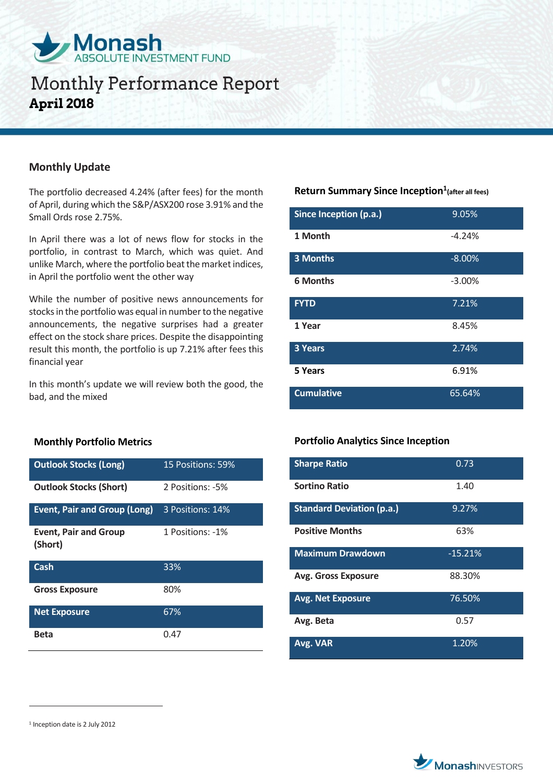

## **Monthly Update**

The portfolio decreased 4.24% (after fees) for the month of April, during which the S&P/ASX200 rose 3.91% and the Small Ords rose 2.75%.

In April there was a lot of news flow for stocks in the portfolio, in contrast to March, which was quiet. And unlike March, where the portfolio beat the market indices, in April the portfolio went the other way

While the number of positive news announcements for stocks in the portfolio was equal in number to the negative announcements, the negative surprises had a greater effect on the stock share prices. Despite the disappointing result this month, the portfolio is up 7.21% after fees this financial year

In this month's update we will review both the good, the bad, and the mixed

### **Monthly Portfolio Metrics**

| <b>Outlook Stocks (Long)</b>            | 15 Positions: 59% |
|-----------------------------------------|-------------------|
| <b>Outlook Stocks (Short)</b>           | 2 Positions: -5%  |
| <b>Event, Pair and Group (Long)</b>     | 3 Positions: 14%  |
| <b>Event, Pair and Group</b><br>(Short) | 1 Positions: -1%  |
| Cash                                    | 33%               |
|                                         |                   |
| <b>Gross Exposure</b>                   | 80%               |
| <b>Net Exposure</b>                     | 67%               |

### **Return Summary Since Inception<sup>1</sup> (after all fees)**

| Since Inception (p.a.) | 9.05%    |
|------------------------|----------|
| 1 Month                | $-4.24%$ |
| 3 Months               | $-8.00%$ |
| <b>6 Months</b>        | $-3.00%$ |
| <b>FYTD</b>            | 7.21%    |
| 1 Year                 | 8.45%    |
| <b>3 Years</b>         | 2.74%    |
| 5 Years                | 6.91%    |
| <b>Cumulative</b>      | 65.64%   |

### **Portfolio Analytics Since Inception**

| <b>Sharpe Ratio</b>              | 0.73      |
|----------------------------------|-----------|
| Sortino Ratio                    | 1.40      |
| <b>Standard Deviation (p.a.)</b> | 9.27%     |
| <b>Positive Months</b>           | 63%       |
| <b>Maximum Drawdown</b>          | $-15.21%$ |
| <b>Avg. Gross Exposure</b>       | 88.30%    |
| <b>Avg. Net Exposure</b>         | 76.50%    |
| Avg. Beta                        | 0.57      |
| Avg. VAR                         | 1.20%     |

 $\overline{a}$ 



<sup>1</sup> Inception date is 2 July 2012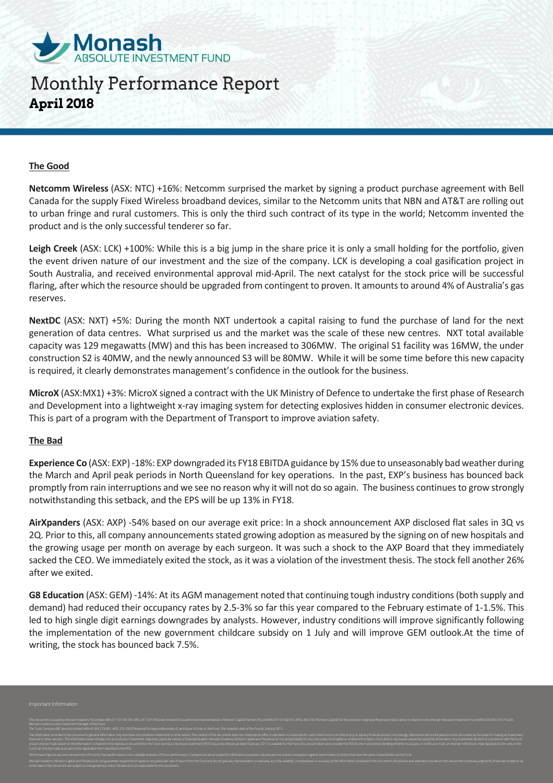

#### **The Good**

**Netcomm Wireless** (ASX: NTC) +16%: Netcomm surprised the market by signing a product purchase agreement with Bell Canada for the supply Fixed Wireless broadband devices, similar to the Netcomm units that NBN and AT&T are rolling out to urban fringe and rural customers. This is only the third such contract of its type in the world; Netcomm invented the product and is the only successful tenderer so far.

**Leigh Creek** (ASX: LCK) +100%: While this is a big jump in the share price it is only a small holding for the portfolio, given the event driven nature of our investment and the size of the company. LCK is developing a coal gasification project in South Australia, and received environmental approval mid-April. The next catalyst for the stock price will be successful flaring, after which the resource should be upgraded from contingent to proven. It amounts to around 4% of Australia's gas reserves.

**NextDC** (ASX: NXT) +5%: During the month NXT undertook a capital raising to fund the purchase of land for the next generation of data centres. What surprised us and the market was the scale of these new centres. NXT total available capacity was 129 megawatts (MW) and this has been increased to 306MW. The original S1 facility was 16MW, the under construction S2 is 40MW, and the newly announced S3 will be 80MW. While it will be some time before this new capacity is required, it clearly demonstrates management's confidence in the outlook for the business.

**MicroX** (ASX:MX1) +3%: MicroX signed a contract with the UK Ministry of Defence to undertake the first phase of Research and Development into a lightweight x-ray imaging system for detecting explosives hidden in consumer electronic devices. This is part of a program with the Department of Transport to improve aviation safety.

### **The Bad**

**Experience Co** (ASX: EXP) -18%: EXP downgraded its FY18 EBITDA guidance by 15% due to unseasonably bad weather during the March and April peak periods in North Queensland for key operations. In the past, EXP's business has bounced back promptly from rain interruptions and we see no reason why it will not do so again. The business continues to grow strongly notwithstanding this setback, and the EPS will be up 13% in FY18.

**AirXpanders** (ASX: AXP) -54% based on our average exit price: In a shock announcement AXP disclosed flat sales in 3Q vs 2Q. Prior to this, all company announcements stated growing adoption as measured by the signing on of new hospitals and the growing usage per month on average by each surgeon. It was such a shock to the AXP Board that they immediately sacked the CEO. We immediately exited the stock, as it was a violation of the investment thesis. The stock fell another 26% after we exited.

**G8 Education** (ASX: GEM) -14%: At its AGM management noted that continuing tough industry conditions (both supply and demand) had reduced their occupancy rates by 2.5-3% so far this year compared to the February estimate of 1-1.5%. This led to high single digit earnings downgrades by analysts. However, industry conditions will improve significantly following the implementation of the new government childcare subsidy on 1 July and will improve GEM outlook.At the time of writing, the stock has bounced back 7.5%.

Monash Investors is the investment manager of the Fund. The Trust Company (RE Services) Limited ABN 45 003 278 831, AFSL 235 150 ("Perpetual") is responsible entity of, and issuer of units in, the Fund. The inception date of the Fund is 2nd July 2012. financial or other decision. This information does not take into account your investment objectives, particular needs or financial situation. Monash Investors, Winston Capital and Perpetual do not accept liability for any Performance figures assume reinvestment of income. Past performance is not a reliable indicator of future performance. Comparisors are provided for information purposes only and are not a direct comparison against benchmar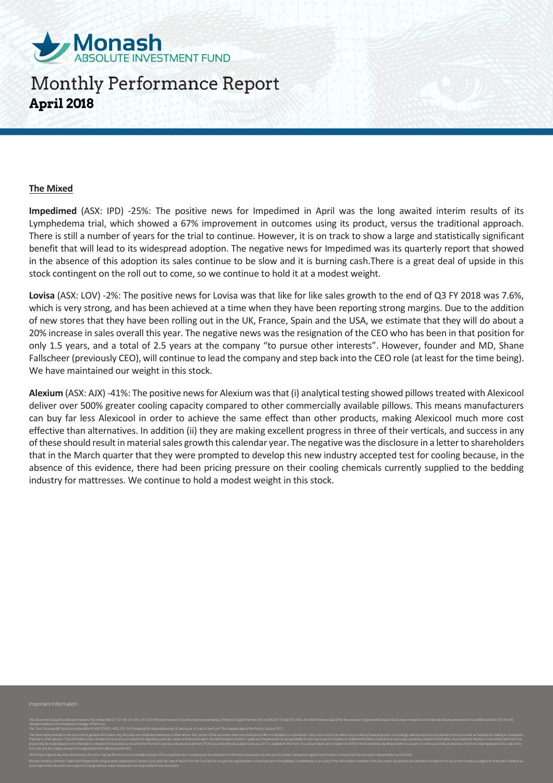

#### **The Mixed**

**Impedimed** (ASX: IPD) -25%: The positive news for Impedimed in April was the long awaited interim results of its Lymphedema trial, which showed a 67% improvement in outcomes using its product, versus the traditional approach. There is still a number of years for the trial to continue. However, it is on track to show a large and statistically significant benefit that will lead to its widespread adoption. The negative news for Impedimed was its quarterly report that showed in the absence of this adoption its sales continue to be slow and it is burning cash.There is a great deal of upside in this stock contingent on the roll out to come, so we continue to hold it at a modest weight.

**Lovisa** (ASX: LOV) -2%: The positive news for Lovisa was that like for like sales growth to the end of Q3 FY 2018 was 7.6%, which is very strong, and has been achieved at a time when they have been reporting strong margins. Due to the addition of new stores that they have been rolling out in the UK, France, Spain and the USA, we estimate that they will do about a 20% increase in sales overall this year. The negative news was the resignation of the CEO who has been in that position for only 1.5 years, and a total of 2.5 years at the company "to pursue other interests". However, founder and MD, Shane Fallscheer (previously CEO), will continue to lead the company and step back into the CEO role (at least for the time being). We have maintained our weight in this stock.

**Alexium** (ASX: AJX) -41%: The positive news for Alexium was that (i) analytical testing showed pillows treated with Alexicool deliver over 500% greater cooling capacity compared to other commercially available pillows. This means manufacturers can buy far less Alexicool in order to achieve the same effect than other products, making Alexicool much more cost effective than alternatives. In addition (ii) they are making excellent progress in three of their verticals, and success in any of these should result in material sales growth this calendar year. The negative was the disclosure in a letter to shareholders that in the March quarter that they were prompted to develop this new industry accepted test for cooling because, in the absence of this evidence, there had been pricing pressure on their cooling chemicals currently supplied to the bedding industry for mattresses. We continue to hold a modest weight in this stock.

Monash Investors is the investment manager of the Fund. The Trust Company (RE Services) Limited ABN 45 003 278 831, AFSL 235 150 ("Perpetual") is responsible entity of, and issuer of units in, the Fund. The inception date of the Fund is 2nd July 2012. financial or other decision. This information does not take into account your investment objectives, particular needs or financial situation. Monash Investors, Winston Capital and Perpetual do not accept liability for any Performance figures assume reinvestment of income. Past performance is not a reliable indicator of future performance. Comparisors are provided for information purposes only and are not a direct comparison against benchmar